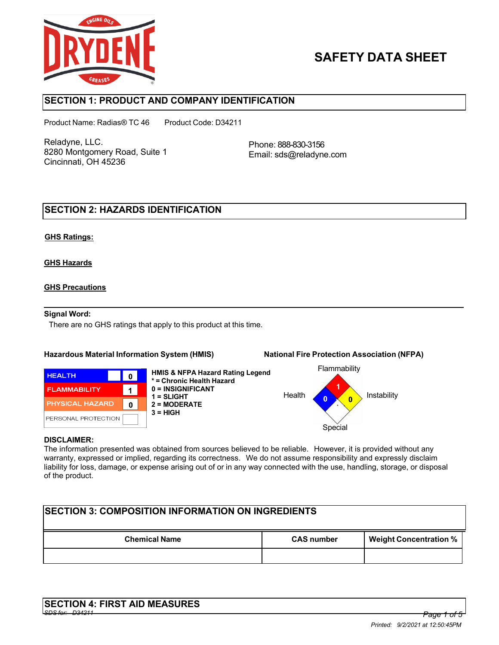

# **SAFETY DATA SHEET**

## **SECTION 1: PRODUCT AND COMPANY IDENTIFICATION**

Product Name: Radias® TC 46 Product Code: D34211

Reladyne, LLC. 8280 Montgomery Road, Suite 1 Cincinnati, OH 45236

Phone: 888-830-3156 Email: sds@reladyne.com

## **SECTION 2: HAZARDS IDENTIFICATION**

### **GHS Ratings:**

### **GHS Hazards**

### **GHS Precautions**

#### **Signal Word:**

There are no GHS ratings that apply to this product at this time.

#### **Hazardous Material Information System (HMIS) National Fire Protection Association (NFPA)**



**HMIS & NFPA Hazard Rating Legend \* = Chronic Health Hazard 0 = INSIGNIFICANT 1 = SLIGHT 2 = MODERATE 3 = HIGH**



#### **DISCLAIMER:**

The information presented was obtained from sources believed to be reliable. However, it is provided without any warranty, expressed or implied, regarding its correctness. We do not assume responsibility and expressly disclaim liability for loss, damage, or expense arising out of or in any way connected with the use, handling, storage, or disposal of the product.

| <b>ISECTION 3: COMPOSITION INFORMATION ON INGREDIENTS</b> |                   |                               |  |  |
|-----------------------------------------------------------|-------------------|-------------------------------|--|--|
| <b>Chemical Name</b>                                      | <b>CAS number</b> | <b>Weight Concentration %</b> |  |  |
|                                                           |                   |                               |  |  |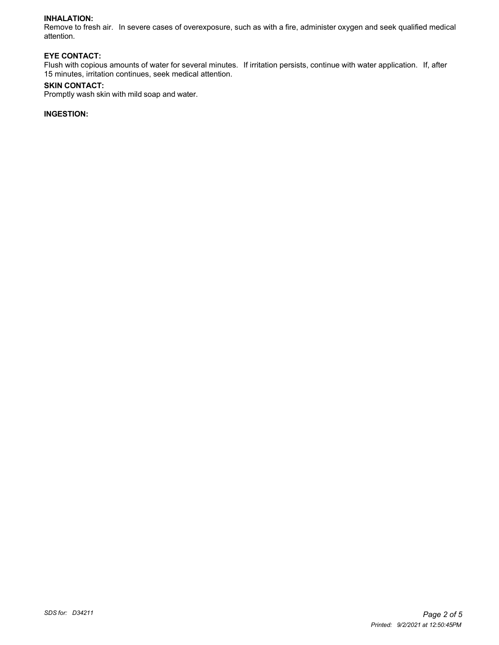#### **INHALATION:**

Remove to fresh air. In severe cases of overexposure, such as with a fire, administer oxygen and seek qualified medical attention.

#### **EYE CONTACT:**

Flush with copious amounts of water for several minutes. If irritation persists, continue with water application. If, after 15 minutes, irritation continues, seek medical attention.

#### **SKIN CONTACT:**

Promptly wash skin with mild soap and water.

### **INGESTION:**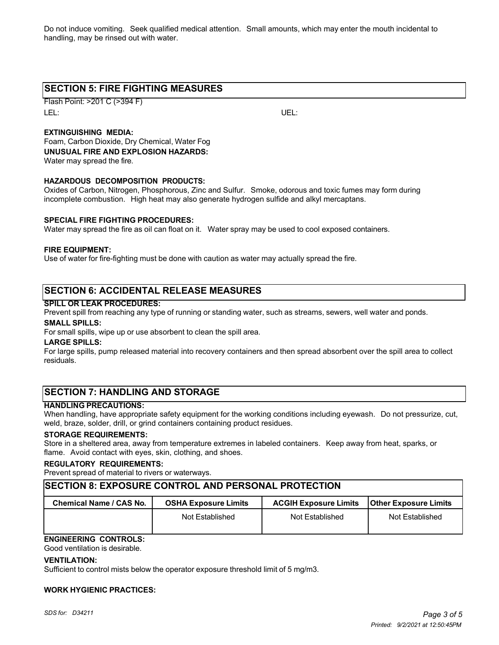Do not induce vomiting. Seek qualified medical attention. Small amounts, which may enter the mouth incidental to handling, may be rinsed out with water.

## **SECTION 5: FIRE FIGHTING MEASURES**

Flash Point: >201 C (>394 F) LEL: UEL:

### **EXTINGUISHING MEDIA:**

Foam, Carbon Dioxide, Dry Chemical, Water Fog **UNUSUAL FIRE AND EXPLOSION HAZARDS:** Water may spread the fire.

#### **HAZARDOUS DECOMPOSITION PRODUCTS:**

Oxides of Carbon, Nitrogen, Phosphorous, Zinc and Sulfur. Smoke, odorous and toxic fumes may form during incomplete combustion. High heat may also generate hydrogen sulfide and alkyl mercaptans.

#### **SPECIAL FIRE FIGHTING PROCEDURES:**

Water may spread the fire as oil can float on it. Water spray may be used to cool exposed containers.

#### **FIRE EQUIPMENT:**

Use of water for fire-fighting must be done with caution as water may actually spread the fire.

## **SECTION 6: ACCIDENTAL RELEASE MEASURES**

#### **SPILL OR LEAK PROCEDURES:**

Prevent spill from reaching any type of running or standing water, such as streams, sewers, well water and ponds.

#### **SMALL SPILLS:**

For small spills, wipe up or use absorbent to clean the spill area.

#### **LARGE SPILLS:**

For large spills, pump released material into recovery containers and then spread absorbent over the spill area to collect residuals.

## **SECTION 7: HANDLING AND STORAGE**

#### **HANDLING PRECAUTIONS:**

When handling, have appropriate safety equipment for the working conditions including eyewash. Do not pressurize, cut, weld, braze, solder, drill, or grind containers containing product residues.

#### **STORAGE REQUIREMENTS:**

Store in a sheltered area, away from temperature extremes in labeled containers. Keep away from heat, sparks, or flame. Avoid contact with eyes, skin, clothing, and shoes.

#### **REGULATORY REQUIREMENTS:**

Prevent spread of material to rivers or waterways.

### **SECTION 8: EXPOSURE CONTROL AND PERSONAL PROTECTION**

| Chemical Name / CAS No. | <b>OSHA Exposure Limits</b> | <b>ACGIH Exposure Limits</b> | <b>Other Exposure Limits</b> |
|-------------------------|-----------------------------|------------------------------|------------------------------|
|                         | Not Established             | Not Established              | Not Established              |

## **ENGINEERING CONTROLS:**

Good ventilation is desirable.

#### **VENTILATION:**

Sufficient to control mists below the operator exposure threshold limit of 5 mg/m3.

#### **WORK HYGIENIC PRACTICES:**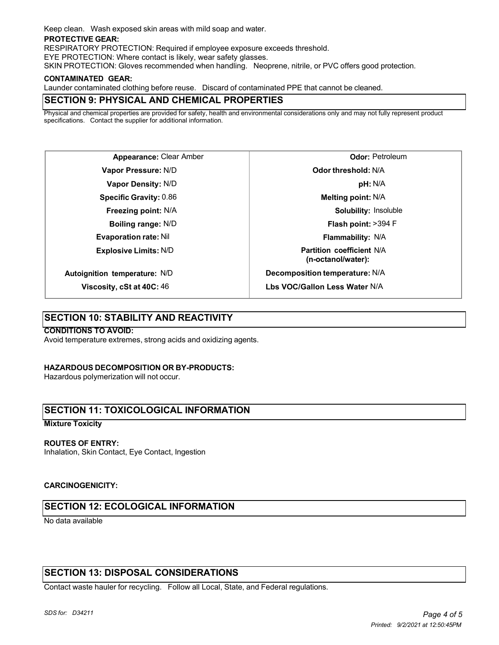Keep clean. Wash exposed skin areas with mild soap and water.

#### **PROTECTIVE GEAR:**

RESPIRATORY PROTECTION: Required if employee exposure exceeds threshold.

EYE PROTECTION: Where contact is likely, wear safety glasses.

SKIN PROTECTION: Gloves recommended when handling. Neoprene, nitrile, or PVC offers good protection.

#### **CONTAMINATED GEAR:**

Launder contaminated clothing before reuse. Discard of contaminated PPE that cannot be cleaned.

## **SECTION 9: PHYSICAL AND CHEMICAL PROPERTIES**

Physical and chemical properties are provided for safety, health and environmental considerations only and may not fully represent product specifications. Contact the supplier for additional information.

**Appearance:** Clear Amber **Vapor Pressure:** N/D **Vapor Density:** N/D **Specific Gravity:** 0.86 **Freezing point:** N/A **Boiling range:** N/D **Evaporation rate:** Nil **Explosive Limits:** N/D **Autoignition temperature:** N/D

**Odor:** Petroleum **Odor threshold:** N/A **pH:** N/A **Melting point:** N/A **Solubility:** Insoluble **Flash point:** >394 F **Flammability:** N/A **Partition coefficient** N/A **(n-octanol/water): Decomposition temperature:** N/A **Lbs VOC/Gallon Less Water** N/A

## **SECTION 10: STABILITY AND REACTIVITY**

**Viscosity, cSt at 40C:** 46

#### **CONDITIONS TO AVOID:**

Avoid temperature extremes, strong acids and oxidizing agents.

#### **HAZARDOUS DECOMPOSITION OR BY-PRODUCTS:**

Hazardous polymerization will not occur.

## **SECTION 11: TOXICOLOGICAL INFORMATION**

#### **Mixture Toxicity**

#### **ROUTES OF ENTRY:**

Inhalation, Skin Contact, Eye Contact, Ingestion

#### **CARCINOGENICITY:**

## **SECTION 12: ECOLOGICAL INFORMATION**

No data available

## **SECTION 13: DISPOSAL CONSIDERATIONS**

Contact waste hauler for recycling. Follow all Local, State, and Federal regulations.